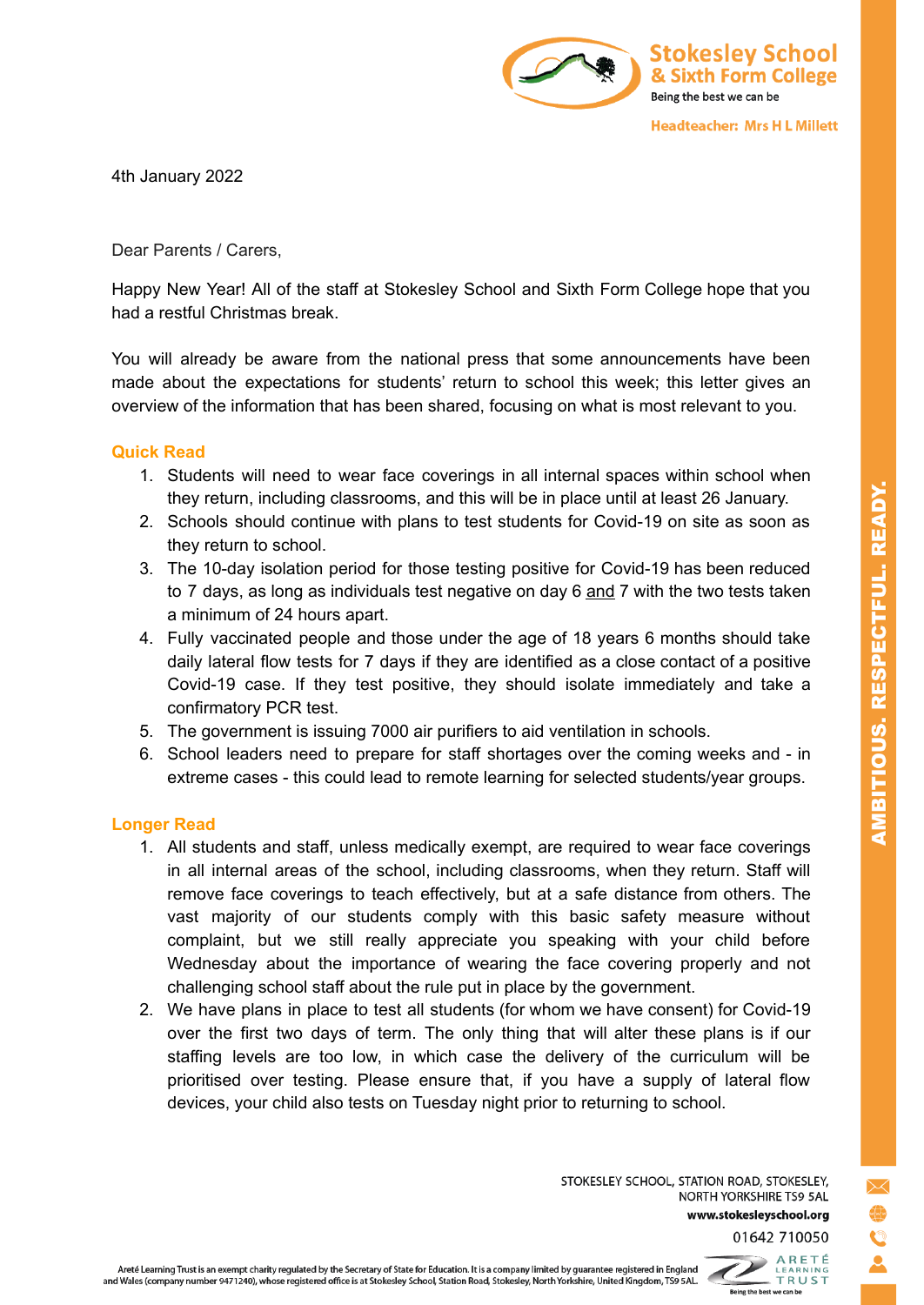

4th January 2022

Dear Parents / Carers,

Happy New Year! All of the staff at Stokesley School and Sixth Form College hope that you had a restful Christmas break.

You will already be aware from the national press that some announcements have been made about the expectations for students' return to school this week; this letter gives an overview of the information that has been shared, focusing on what is most relevant to you.

## **Quick Read**

- 1. Students will need to wear face coverings in all internal spaces within school when they return, including classrooms, and this will be in place until at least 26 January.
- 2. Schools should continue with plans to test students for Covid-19 on site as soon as they return to school.
- 3. The 10-day isolation period for those testing positive for Covid-19 has been reduced to 7 days, as long as individuals test negative on day 6 and 7 with the two tests taken a minimum of 24 hours apart.
- 4. Fully vaccinated people and those under the age of 18 years 6 months should take daily lateral flow tests for 7 days if they are identified as a close contact of a positive Covid-19 case. If they test positive, they should isolate immediately and take a confirmatory PCR test.
- 5. The government is issuing 7000 air purifiers to aid ventilation in schools.
- 6. School leaders need to prepare for staff shortages over the coming weeks and in extreme cases - this could lead to remote learning for selected students/year groups.

## **Longer Read**

- 1. All students and staff, unless medically exempt, are required to wear face coverings in all internal areas of the school, including classrooms, when they return. Staff will remove face coverings to teach effectively, but at a safe distance from others. The vast majority of our students comply with this basic safety measure without complaint, but we still really appreciate you speaking with your child before Wednesday about the importance of wearing the face covering properly and not challenging school staff about the rule put in place by the government.
- 2. We have plans in place to test all students (for whom we have consent) for Covid-19 over the first two days of term. The only thing that will alter these plans is if our staffing levels are too low, in which case the delivery of the curriculum will be prioritised over testing. Please ensure that, if you have a supply of lateral flow devices, your child also tests on Tuesday night prior to returning to school.

STOKESLEY SCHOOL, STATION ROAD, STOKESLEY, NORTH YORKSHIRE TS9 5AL www.stokesleyschool.org 01642 710050 AMBITIOUS. RESPECTFUL. READY.

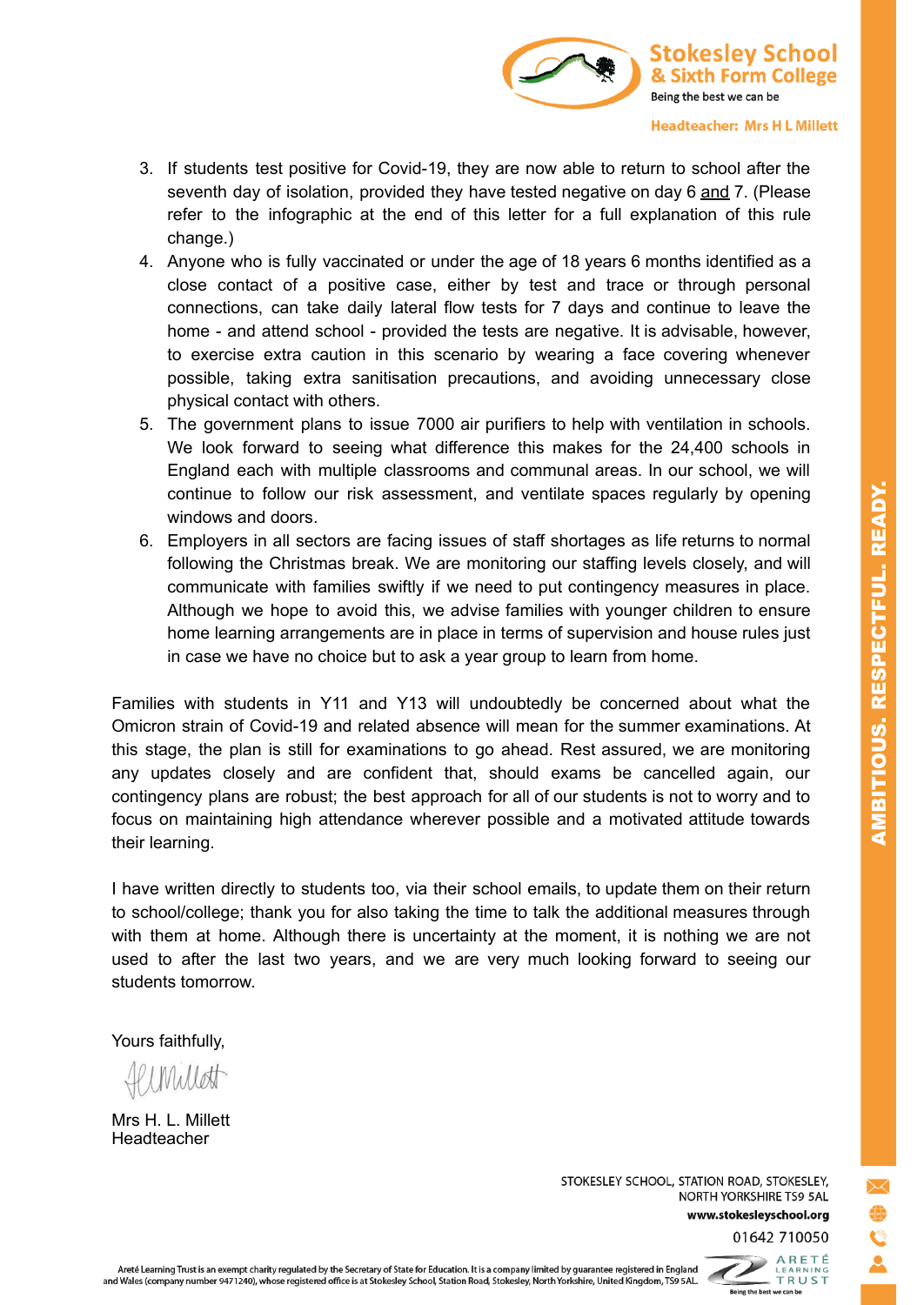

**Headteacher: Mrs H L Millett** 

- 3. If students test positive for Covid-19, they are now able to return to school after the seventh day of isolation, provided they have tested negative on day 6 and 7. (Please refer to the infographic at the end of this letter for a full explanation of this rule change.)
- 4. Anyone who is fully vaccinated or under the age of 18 years 6 months identified as a close contact of a positive case, either by test and trace or through personal connections, can take daily lateral flow tests for 7 days and continue to leave the home - and attend school - provided the tests are negative. It is advisable, however, to exercise extra caution in this scenario by wearing a face covering whenever possible, taking extra sanitisation precautions, and avoiding unnecessary close physical contact with others.
- 5. The government plans to issue 7000 air purifiers to help with ventilation in schools. We look forward to seeing what difference this makes for the 24,400 schools in England each with multiple classrooms and communal areas. In our school, we will continue to follow our risk assessment, and ventilate spaces regularly by opening windows and doors.
- 6. Employers in all sectors are facing issues of staff shortages as life returns to normal following the Christmas break. We are monitoring our staffing levels closely, and will communicate with families swiftly if we need to put contingency measures in place. Although we hope to avoid this, we advise families with younger children to ensure home learning arrangements are in place in terms of supervision and house rules just in case we have no choice but to ask a year group to learn from home.

Families with students in Y11 and Y13 will undoubtedly be concerned about what the Omicron strain of Covid-19 and related absence will mean for the summer examinations. At this stage, the plan is still for examinations to go ahead. Rest assured, we are monitoring any updates closely and are confident that, should exams be cancelled again, our contingency plans are robust; the best approach for all of our students is not to worry and to focus on maintaining high attendance wherever possible and a motivated attitude towards their learning.

I have written directly to students too, via their school emails, to update them on their return to school/college; thank you for also taking the time to talk the additional measures through with them at home. Although there is uncertainty at the moment, it is nothing we are not used to after the last two years, and we are very much looking forward to seeing our students tomorrow.

Yours faithfully,

 $101$  Millott

Mrs H. L. Millett Headteacher

STOKESLEY SCHOOL, STATION ROAD, STOKESLEY, NORTH YORKSHIRE TS9 5AL www.stokesleyschool.org

01642 710050



Areté Learning Trust is an exempt charity regulated by the Secretary of State for Education. It is a company limited by guarantee registered in England Arete Learning Trust is an exempt charity regulated by the Secretary of State for Education. It is a company limited by guarantee registered in England<br>- and Wales (company number 9471240), whose registered office is at St